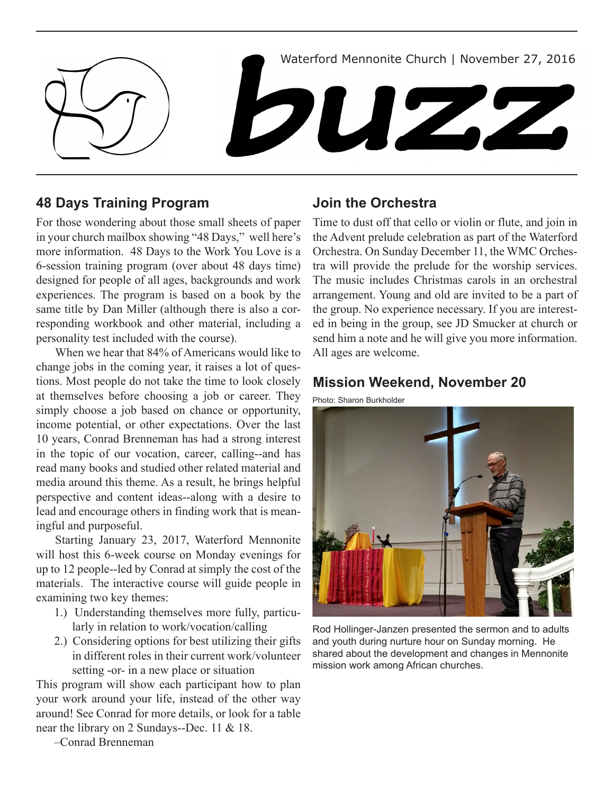

# **48 Days Training Program**

For those wondering about those small sheets of paper in your church mailbox showing "48 Days," well here's more information. 48 Days to the Work You Love is a 6-session training program (over about 48 days time) designed for people of all ages, backgrounds and work experiences. The program is based on a book by the same title by Dan Miller (although there is also a corresponding workbook and other material, including a personality test included with the course).

When we hear that 84% of Americans would like to change jobs in the coming year, it raises a lot of questions. Most people do not take the time to look closely at themselves before choosing a job or career. They simply choose a job based on chance or opportunity, income potential, or other expectations. Over the last 10 years, Conrad Brenneman has had a strong interest in the topic of our vocation, career, calling--and has read many books and studied other related material and media around this theme. As a result, he brings helpful perspective and content ideas--along with a desire to lead and encourage others in finding work that is meaningful and purposeful.

Starting January 23, 2017, Waterford Mennonite will host this 6-week course on Monday evenings for up to 12 people--led by Conrad at simply the cost of the materials. The interactive course will guide people in examining two key themes:

- 1.) Understanding themselves more fully, particularly in relation to work/vocation/calling
- 2.) Considering options for best utilizing their gifts in different roles in their current work/volunteer setting -or- in a new place or situation

This program will show each participant how to plan your work around your life, instead of the other way around! See Conrad for more details, or look for a table near the library on 2 Sundays--Dec. 11 & 18.

## **Join the Orchestra**

Time to dust off that cello or violin or flute, and join in the Advent prelude celebration as part of the Waterford Orchestra. On Sunday December 11, the WMC Orchestra will provide the prelude for the worship services. The music includes Christmas carols in an orchestral arrangement. Young and old are invited to be a part of the group. No experience necessary. If you are interested in being in the group, see JD Smucker at church or send him a note and he will give you more information. All ages are welcome.

### **Mission Weekend, November 20**

Photo: Sharon Burkholder



Rod Hollinger-Janzen presented the sermon and to adults and youth during nurture hour on Sunday morning. He shared about the development and changes in Mennonite mission work among African churches.

–Conrad Brenneman